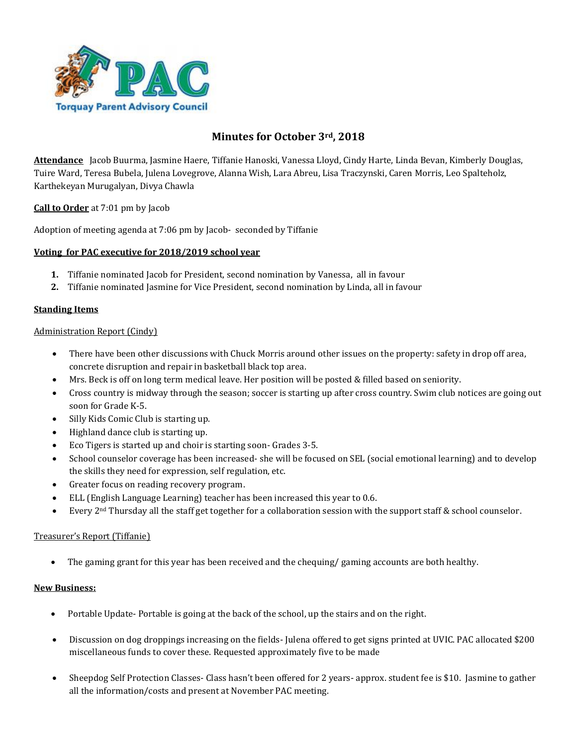

# **Minutes for October 3rd, 2018**

**Attendance** Jacob Buurma, Jasmine Haere, Tiffanie Hanoski, Vanessa Lloyd, Cindy Harte, Linda Bevan, Kimberly Douglas, Tuire Ward, Teresa Bubela, Julena Lovegrove, Alanna Wish, Lara Abreu, Lisa Traczynski, Caren Morris, Leo Spalteholz, Karthekeyan Murugalyan, Divya Chawla

**Call to Order** at 7:01 pm by Jacob

Adoption of meeting agenda at 7:06 pm by Jacob- seconded by Tiffanie

## **Voting for PAC executive for 2018/2019 school year**

- **1.** Tiffanie nominated Jacob for President, second nomination by Vanessa, all in favour
- **2.** Tiffanie nominated Jasmine for Vice President, second nomination by Linda, all in favour

### **Standing Items**

### Administration Report (Cindy)

- There have been other discussions with Chuck Morris around other issues on the property: safety in drop off area, concrete disruption and repair in basketball black top area.
- Mrs. Beck is off on long term medical leave. Her position will be posted & filled based on seniority.
- Cross country is midway through the season; soccer is starting up after cross country. Swim club notices are going out soon for Grade K-5.
- Silly Kids Comic Club is starting up.
- Highland dance club is starting up.
- Eco Tigers is started up and choir is starting soon- Grades 3-5.
- School counselor coverage has been increased- she will be focused on SEL (social emotional learning) and to develop the skills they need for expression, self regulation, etc.
- Greater focus on reading recovery program.
- ELL (English Language Learning) teacher has been increased this year to 0.6.
- Every 2nd Thursday all the staff get together for a collaboration session with the support staff & school counselor.

### Treasurer's Report (Tiffanie)

The gaming grant for this year has been received and the chequing/ gaming accounts are both healthy.

### **New Business:**

- Portable Update- Portable is going at the back of the school, up the stairs and on the right.
- Discussion on dog droppings increasing on the fields- Julena offered to get signs printed at UVIC. PAC allocated \$200 miscellaneous funds to cover these. Requested approximately five to be made
- Sheepdog Self Protection Classes- Class hasn't been offered for 2 years- approx. student fee is \$10. Jasmine to gather all the information/costs and present at November PAC meeting.